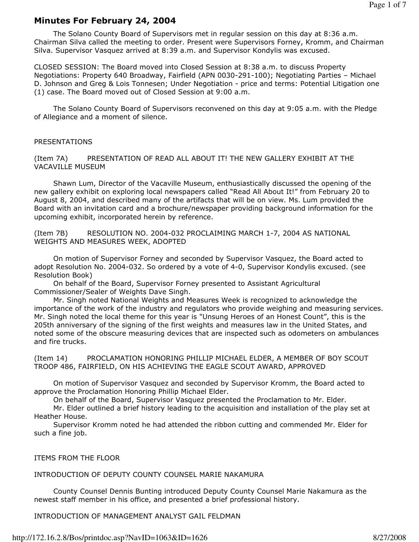# Minutes For February 24, 2004

 The Solano County Board of Supervisors met in regular session on this day at 8:36 a.m. Chairman Silva called the meeting to order. Present were Supervisors Forney, Kromm, and Chairman Silva. Supervisor Vasquez arrived at 8:39 a.m. and Supervisor Kondylis was excused.

CLOSED SESSION: The Board moved into Closed Session at 8:38 a.m. to discuss Property Negotiations: Property 640 Broadway, Fairfield (APN 0030-291-100); Negotiating Parties – Michael D. Johnson and Greg & Lois Tonnesen; Under Negotiation - price and terms: Potential Litigation one (1) case. The Board moved out of Closed Session at 9:00 a.m.

 The Solano County Board of Supervisors reconvened on this day at 9:05 a.m. with the Pledge of Allegiance and a moment of silence.

## PRESENTATIONS

(Item 7A) PRESENTATION OF READ ALL ABOUT IT! THE NEW GALLERY EXHIBIT AT THE VACAVILLE MUSEUM

 Shawn Lum, Director of the Vacaville Museum, enthusiastically discussed the opening of the new gallery exhibit on exploring local newspapers called "Read All About It!" from February 20 to August 8, 2004, and described many of the artifacts that will be on view. Ms. Lum provided the Board with an invitation card and a brochure/newspaper providing background information for the upcoming exhibit, incorporated herein by reference.

(Item 7B) RESOLUTION NO. 2004-032 PROCLAIMING MARCH 1-7, 2004 AS NATIONAL WEIGHTS AND MEASURES WEEK, ADOPTED

 On motion of Supervisor Forney and seconded by Supervisor Vasquez, the Board acted to adopt Resolution No. 2004-032. So ordered by a vote of 4-0, Supervisor Kondylis excused. (see Resolution Book)

 On behalf of the Board, Supervisor Forney presented to Assistant Agricultural Commissioner/Sealer of Weights Dave Singh.

 Mr. Singh noted National Weights and Measures Week is recognized to acknowledge the importance of the work of the industry and regulators who provide weighing and measuring services. Mr. Singh noted the local theme for this year is "Unsung Heroes of an Honest Count", this is the 205th anniversary of the signing of the first weights and measures law in the United States, and noted some of the obscure measuring devices that are inspected such as odometers on ambulances and fire trucks.

(Item 14) PROCLAMATION HONORING PHILLIP MICHAEL ELDER, A MEMBER OF BOY SCOUT TROOP 486, FAIRFIELD, ON HIS ACHIEVING THE EAGLE SCOUT AWARD, APPROVED

 On motion of Supervisor Vasquez and seconded by Supervisor Kromm, the Board acted to approve the Proclamation Honoring Phillip Michael Elder.

On behalf of the Board, Supervisor Vasquez presented the Proclamation to Mr. Elder.

 Mr. Elder outlined a brief history leading to the acquisition and installation of the play set at Heather House.

 Supervisor Kromm noted he had attended the ribbon cutting and commended Mr. Elder for such a fine job.

### ITEMS FROM THE FLOOR

INTRODUCTION OF DEPUTY COUNTY COUNSEL MARIE NAKAMURA

 County Counsel Dennis Bunting introduced Deputy County Counsel Marie Nakamura as the newest staff member in his office, and presented a brief professional history.

INTRODUCTION OF MANAGEMENT ANALYST GAIL FELDMAN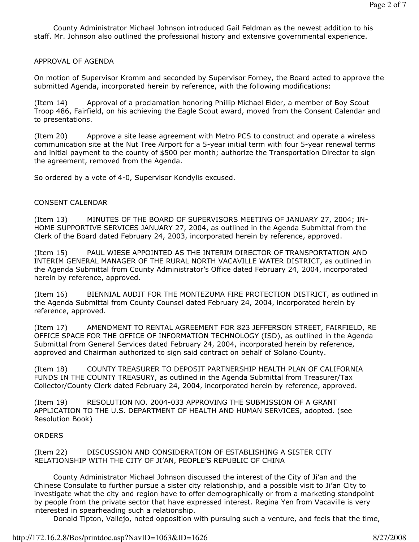County Administrator Michael Johnson introduced Gail Feldman as the newest addition to his staff. Mr. Johnson also outlined the professional history and extensive governmental experience.

# APPROVAL OF AGENDA

On motion of Supervisor Kromm and seconded by Supervisor Forney, the Board acted to approve the submitted Agenda, incorporated herein by reference, with the following modifications:

(Item 14) Approval of a proclamation honoring Phillip Michael Elder, a member of Boy Scout Troop 486, Fairfield, on his achieving the Eagle Scout award, moved from the Consent Calendar and to presentations.

(Item 20) Approve a site lease agreement with Metro PCS to construct and operate a wireless communication site at the Nut Tree Airport for a 5-year initial term with four 5-year renewal terms and initial payment to the county of \$500 per month; authorize the Transportation Director to sign the agreement, removed from the Agenda.

So ordered by a vote of 4-0, Supervisor Kondylis excused.

## CONSENT CALENDAR

(Item 13) MINUTES OF THE BOARD OF SUPERVISORS MEETING OF JANUARY 27, 2004; IN-HOME SUPPORTIVE SERVICES JANUARY 27, 2004, as outlined in the Agenda Submittal from the Clerk of the Board dated February 24, 2003, incorporated herein by reference, approved.

(Item 15) PAUL WIESE APPOINTED AS THE INTERIM DIRECTOR OF TRANSPORTATION AND INTERIM GENERAL MANAGER OF THE RURAL NORTH VACAVILLE WATER DISTRICT, as outlined in the Agenda Submittal from County Administrator's Office dated February 24, 2004, incorporated herein by reference, approved.

(Item 16) BIENNIAL AUDIT FOR THE MONTEZUMA FIRE PROTECTION DISTRICT, as outlined in the Agenda Submittal from County Counsel dated February 24, 2004, incorporated herein by reference, approved.

(Item 17) AMENDMENT TO RENTAL AGREEMENT FOR 823 JEFFERSON STREET, FAIRFIELD, RE OFFICE SPACE FOR THE OFFICE OF INFORMATION TECHNOLOGY (ISD), as outlined in the Agenda Submittal from General Services dated February 24, 2004, incorporated herein by reference, approved and Chairman authorized to sign said contract on behalf of Solano County.

(Item 18) COUNTY TREASURER TO DEPOSIT PARTNERSHIP HEALTH PLAN OF CALIFORNIA FUNDS IN THE COUNTY TREASURY, as outlined in the Agenda Submittal from Treasurer/Tax Collector/County Clerk dated February 24, 2004, incorporated herein by reference, approved.

(Item 19) RESOLUTION NO. 2004-033 APPROVING THE SUBMISSION OF A GRANT APPLICATION TO THE U.S. DEPARTMENT OF HEALTH AND HUMAN SERVICES, adopted. (see Resolution Book)

### **ORDERS**

(Item 22) DISCUSSION AND CONSIDERATION OF ESTABLISHING A SISTER CITY RELATIONSHIP WITH THE CITY OF JI'AN, PEOPLE'S REPUBLIC OF CHINA

 County Administrator Michael Johnson discussed the interest of the City of Ji'an and the Chinese Consulate to further pursue a sister city relationship, and a possible visit to Ji'an City to investigate what the city and region have to offer demographically or from a marketing standpoint by people from the private sector that have expressed interest. Regina Yen from Vacaville is very interested in spearheading such a relationship.

Donald Tipton, Vallejo, noted opposition with pursuing such a venture, and feels that the time,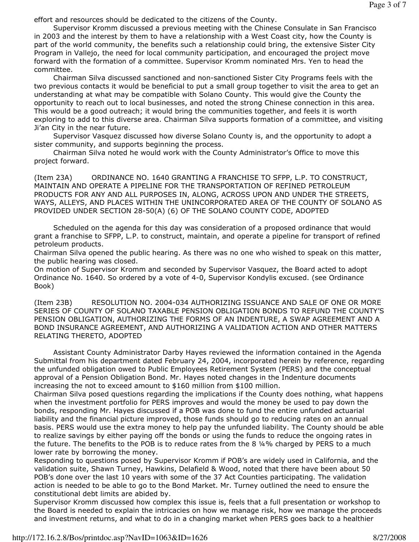effort and resources should be dedicated to the citizens of the County.

 Supervisor Kromm discussed a previous meeting with the Chinese Consulate in San Francisco in 2003 and the interest by them to have a relationship with a West Coast city, how the County is part of the world community, the benefits such a relationship could bring, the extensive Sister City Program in Vallejo, the need for local community participation, and encouraged the project move forward with the formation of a committee. Supervisor Kromm nominated Mrs. Yen to head the committee.

 Chairman Silva discussed sanctioned and non-sanctioned Sister City Programs feels with the two previous contacts it would be beneficial to put a small group together to visit the area to get an understanding at what may be compatible with Solano County. This would give the County the opportunity to reach out to local businesses, and noted the strong Chinese connection in this area. This would be a good outreach; it would bring the communities together, and feels it is worth exploring to add to this diverse area. Chairman Silva supports formation of a committee, and visiting Ji'an City in the near future.

 Supervisor Vasquez discussed how diverse Solano County is, and the opportunity to adopt a sister community, and supports beginning the process.

 Chairman Silva noted he would work with the County Administrator's Office to move this project forward.

(Item 23A) ORDINANCE NO. 1640 GRANTING A FRANCHISE TO SFPP, L.P. TO CONSTRUCT, MAINTAIN AND OPERATE A PIPELINE FOR THE TRANSPORTATION OF REFINED PETROLEUM PRODUCTS FOR ANY AND ALL PURPOSES IN, ALONG, ACROSS UPON AND UNDER THE STREETS, WAYS, ALLEYS, AND PLACES WITHIN THE UNINCORPORATED AREA OF THE COUNTY OF SOLANO AS PROVIDED UNDER SECTION 28-50(A) (6) OF THE SOLANO COUNTY CODE, ADOPTED

 Scheduled on the agenda for this day was consideration of a proposed ordinance that would grant a franchise to SFPP, L.P. to construct, maintain, and operate a pipeline for transport of refined petroleum products.

Chairman Silva opened the public hearing. As there was no one who wished to speak on this matter, the public hearing was closed.

On motion of Supervisor Kromm and seconded by Supervisor Vasquez, the Board acted to adopt Ordinance No. 1640. So ordered by a vote of 4-0, Supervisor Kondylis excused. (see Ordinance Book)

(Item 23B) RESOLUTION NO. 2004-034 AUTHORIZING ISSUANCE AND SALE OF ONE OR MORE SERIES OF COUNTY OF SOLANO TAXABLE PENSION OBLIGATION BONDS TO REFUND THE COUNTY'S PENSION OBLIGATION, AUTHORIZING THE FORMS OF AN INDENTURE, A SWAP AGREEMENT AND A BOND INSURANCE AGREEMENT, AND AUTHORIZING A VALIDATION ACTION AND OTHER MATTERS RELATING THERETO, ADOPTED

 Assistant County Administrator Darby Hayes reviewed the information contained in the Agenda Submittal from his department dated February 24, 2004, incorporated herein by reference, regarding the unfunded obligation owed to Public Employees Retirement System (PERS) and the conceptual approval of a Pension Obligation Bond. Mr. Hayes noted changes in the Indenture documents increasing the not to exceed amount to \$160 million from \$100 million.

Chairman Silva posed questions regarding the implications if the County does nothing, what happens when the investment portfolio for PERS improves and would the money be used to pay down the bonds, responding Mr. Hayes discussed if a POB was done to fund the entire unfunded actuarial liability and the financial picture improved, those funds should go to reducing rates on an annual basis. PERS would use the extra money to help pay the unfunded liability. The County should be able to realize savings by either paying off the bonds or using the funds to reduce the ongoing rates in the future. The benefits to the POB is to reduce rates from the 8 ¼% charged by PERS to a much lower rate by borrowing the money.

Responding to questions posed by Supervisor Kromm if POB's are widely used in California, and the validation suite, Shawn Turney, Hawkins, Delafield & Wood, noted that there have been about 50 POB's done over the last 10 years with some of the 37 Act Counties participating. The validation action is needed to be able to go to the Bond Market. Mr. Turney outlined the need to ensure the constitutional debt limits are abided by.

Supervisor Kromm discussed how complex this issue is, feels that a full presentation or workshop to the Board is needed to explain the intricacies on how we manage risk, how we manage the proceeds and investment returns, and what to do in a changing market when PERS goes back to a healthier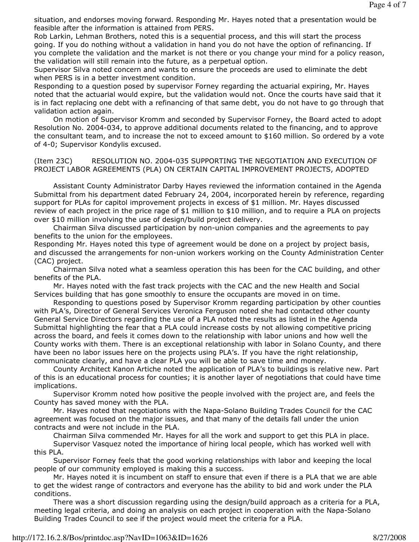situation, and endorses moving forward. Responding Mr. Hayes noted that a presentation would be feasible after the information is attained from PERS.

Rob Larkin, Lehman Brothers, noted this is a sequential process, and this will start the process going. If you do nothing without a validation in hand you do not have the option of refinancing. If you complete the validation and the market is not there or you change your mind for a policy reason, the validation will still remain into the future, as a perpetual option.

Supervisor Silva noted concern and wants to ensure the proceeds are used to eliminate the debt when PERS is in a better investment condition.

Responding to a question posed by supervisor Forney regarding the actuarial expiring, Mr. Hayes noted that the actuarial would expire, but the validation would not. Once the courts have said that it is in fact replacing one debt with a refinancing of that same debt, you do not have to go through that validation action again.

 On motion of Supervisor Kromm and seconded by Supervisor Forney, the Board acted to adopt Resolution No. 2004-034, to approve additional documents related to the financing, and to approve the consultant team, and to increase the not to exceed amount to \$160 million. So ordered by a vote of 4-0; Supervisor Kondylis excused.

(Item 23C) RESOLUTION NO. 2004-035 SUPPORTING THE NEGOTIATION AND EXECUTION OF PROJECT LABOR AGREEMENTS (PLA) ON CERTAIN CAPITAL IMPROVEMENT PROJECTS, ADOPTED

 Assistant County Administrator Darby Hayes reviewed the information contained in the Agenda Submittal from his department dated February 24, 2004, incorporated herein by reference, regarding support for PLAs for capitol improvement projects in excess of \$1 million. Mr. Hayes discussed review of each project in the price rage of \$1 million to \$10 million, and to require a PLA on projects over \$10 million involving the use of design/build project delivery.

 Chairman Silva discussed participation by non-union companies and the agreements to pay benefits to the union for the employees.

Responding Mr. Hayes noted this type of agreement would be done on a project by project basis, and discussed the arrangements for non-union workers working on the County Administration Center (CAC) project.

 Chairman Silva noted what a seamless operation this has been for the CAC building, and other benefits of the PLA.

 Mr. Hayes noted with the fast track projects with the CAC and the new Health and Social Services building that has gone smoothly to ensure the occupants are moved in on time.

 Responding to questions posed by Supervisor Kromm regarding participation by other counties with PLA's, Director of General Services Veronica Ferguson noted she had contacted other county General Service Directors regarding the use of a PLA noted the results as listed in the Agenda Submittal highlighting the fear that a PLA could increase costs by not allowing competitive pricing across the board, and feels it comes down to the relationship with labor unions and how well the County works with them. There is an exceptional relationship with labor in Solano County, and there have been no labor issues here on the projects using PLA's. If you have the right relationship, communicate clearly, and have a clear PLA you will be able to save time and money.

 County Architect Kanon Artiche noted the application of PLA's to buildings is relative new. Part of this is an educational process for counties; it is another layer of negotiations that could have time implications.

 Supervisor Kromm noted how positive the people involved with the project are, and feels the County has saved money with the PLA.

 Mr. Hayes noted that negotiations with the Napa-Solano Building Trades Council for the CAC agreement was focused on the major issues, and that many of the details fall under the union contracts and were not include in the PLA.

Chairman Silva commended Mr. Hayes for all the work and support to get this PLA in place.

 Supervisor Vasquez noted the importance of hiring local people, which has worked well with this PLA.

 Supervisor Forney feels that the good working relationships with labor and keeping the local people of our community employed is making this a success.

 Mr. Hayes noted it is incumbent on staff to ensure that even if there is a PLA that we are able to get the widest range of contractors and everyone has the ability to bid and work under the PLA conditions.

 There was a short discussion regarding using the design/build approach as a criteria for a PLA, meeting legal criteria, and doing an analysis on each project in cooperation with the Napa-Solano Building Trades Council to see if the project would meet the criteria for a PLA.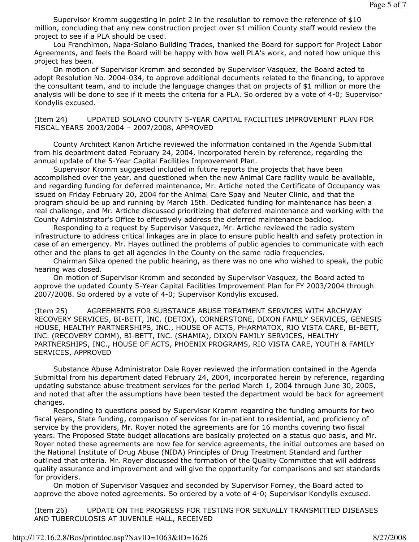Supervisor Kromm suggesting in point 2 in the resolution to remove the reference of \$10 million, concluding that any new construction project over \$1 million County staff would review the project to see if a PLA should be used.

 Lou Franchimon, Napa-Solano Building Trades, thanked the Board for support for Project Labor Agreements, and feels the Board will be happy with how well PLA's work, and noted how unique this project has been.

 On motion of Supervisor Kromm and seconded by Supervisor Vasquez, the Board acted to adopt Resolution No. 2004-034, to approve additional documents related to the financing, to approve the consultant team, and to include the language changes that on projects of \$1 million or more the analysis will be done to see if it meets the criteria for a PLA. So ordered by a vote of 4-0; Supervisor Kondylis excused.

(Item 24) UPDATED SOLANO COUNTY 5-YEAR CAPITAL FACILITIES IMPROVEMENT PLAN FOR FISCAL YEARS 2003/2004 – 2007/2008, APPROVED

 County Architect Kanon Artiche reviewed the information contained in the Agenda Submittal from his department dated February 24, 2004, incorporated herein by reference, regarding the annual update of the 5-Year Capital Facilities Improvement Plan.

 Supervisor Kromm suggested included in future reports the projects that have been accomplished over the year, and questioned when the new Animal Care facility would be available, and regarding funding for deferred maintenance, Mr. Artiche noted the Certificate of Occupancy was issued on Friday February 20, 2004 for the Animal Care Spay and Neuter Clinic, and that the program should be up and running by March 15th. Dedicated funding for maintenance has been a real challenge, and Mr. Artiche discussed prioritizing that deferred maintenance and working with the County Administrator's Office to effectively address the deferred maintenance backlog.

 Responding to a request by Supervisor Vasquez, Mr. Artiche reviewed the radio system infrastructure to address critical linkages are in place to ensure public health and safety protection in case of an emergency. Mr. Hayes outlined the problems of public agencies to communicate with each other and the plans to get all agencies in the County on the same radio frequencies.

 Chairman Silva opened the public hearing, as there was no one who wished to speak, the pubic hearing was closed.

 On motion of Supervisor Kromm and seconded by Supervisor Vasquez, the Board acted to approve the updated County 5-Year Capital Facilities Improvement Plan for FY 2003/2004 through 2007/2008. So ordered by a vote of 4-0; Supervisor Kondylis excused.

(Item 25) AGREEMENTS FOR SUBSTANCE ABUSE TREATMENT SERVICES WITH ARCHWAY RECOVERY SERVICES, BI-BETT, INC. (DETOX), CORNERSTONE, DIXON FAMILY SERVICES, GENESIS HOUSE, HEALTHY PARTNERSHIPS, INC., HOUSE OF ACTS, PHARMATOX, RIO VISTA CARE, BI-BETT, INC. (RECOVERY COMM), BI-BETT, INC. (SHAMIA), DIXON FAMILY SERVICES, HEALTHY PARTNERSHIPS, INC., HOUSE OF ACTS, PHOENIX PROGRAMS, RIO VISTA CARE, YOUTH & FAMILY SERVICES, APPROVED

 Substance Abuse Administrator Dale Royer reviewed the information contained in the Agenda Submittal from his department dated February 24, 2004, incorporated herein by reference, regarding updating substance abuse treatment services for the period March 1, 2004 through June 30, 2005, and noted that after the assumptions have been tested the department would be back for agreement changes.

 Responding to questions posed by Supervisor Kromm regarding the funding amounts for two fiscal years, State funding, comparison of services for in-patient to residential, and proficiency of service by the providers, Mr. Royer noted the agreements are for 16 months covering two fiscal years. The Proposed State budget allocations are basically projected on a status quo basis, and Mr. Royer noted these agreements are now fee for service agreements, the initial outcomes are based on the National Institute of Drug Abuse (NIDA) Principles of Drug Treatment Standard and further outlined that criteria. Mr. Royer discussed the formation of the Quality Committee that will address quality assurance and improvement and will give the opportunity for comparisons and set standards for providers.

 On motion of Supervisor Vasquez and seconded by Supervisor Forney, the Board acted to approve the above noted agreements. So ordered by a vote of 4-0; Supervisor Kondylis excused.

(Item 26) UPDATE ON THE PROGRESS FOR TESTING FOR SEXUALLY TRANSMITTED DISEASES AND TUBERCULOSIS AT JUVENILE HALL, RECEIVED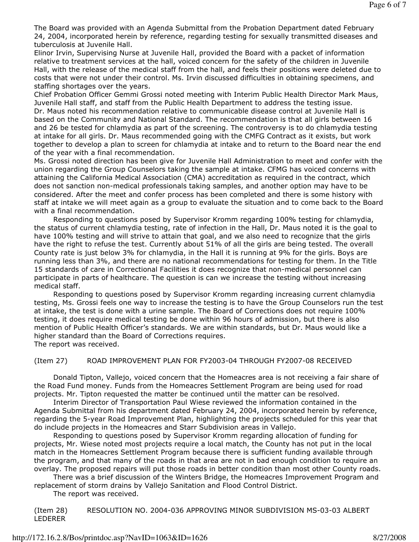The Board was provided with an Agenda Submittal from the Probation Department dated February 24, 2004, incorporated herein by reference, regarding testing for sexually transmitted diseases and tuberculosis at Juvenile Hall.

Elinor Irvin, Supervising Nurse at Juvenile Hall, provided the Board with a packet of information relative to treatment services at the hall, voiced concern for the safety of the children in Juvenile Hall, with the release of the medical staff from the hall, and feels their positions were deleted due to costs that were not under their control. Ms. Irvin discussed difficulties in obtaining specimens, and staffing shortages over the years.

Chief Probation Officer Gemmi Grossi noted meeting with Interim Public Health Director Mark Maus, Juvenile Hall staff, and staff from the Public Health Department to address the testing issue. Dr. Maus noted his recommendation relative to communicable disease control at Juvenile Hall is based on the Community and National Standard. The recommendation is that all girls between 16 and 26 be tested for chlamydia as part of the screening. The controversy is to do chlamydia testing at intake for all girls. Dr. Maus recommended going with the CMFG Contract as it exists, but work together to develop a plan to screen for chlamydia at intake and to return to the Board near the end of the year with a final recommendation.

Ms. Grossi noted direction has been give for Juvenile Hall Administration to meet and confer with the union regarding the Group Counselors taking the sample at intake. CFMG has voiced concerns with attaining the California Medical Association (CMA) accreditation as required in the contract, which does not sanction non-medical professionals taking samples, and another option may have to be considered. After the meet and confer process has been completed and there is some history with staff at intake we will meet again as a group to evaluate the situation and to come back to the Board with a final recommendation.

 Responding to questions posed by Supervisor Kromm regarding 100% testing for chlamydia, the status of current chlamydia testing, rate of infection in the Hall, Dr. Maus noted it is the goal to have 100% testing and will strive to attain that goal, and we also need to recognize that the girls have the right to refuse the test. Currently about 51% of all the girls are being tested. The overall County rate is just below 3% for chlamydia, in the Hall it is running at 9% for the girls. Boys are running less than 3%, and there are no national recommendations for testing for them. In the Title 15 standards of care in Correctional Facilities it does recognize that non-medical personnel can participate in parts of healthcare. The question is can we increase the testing without increasing medical staff.

 Responding to questions posed by Supervisor Kromm regarding increasing current chlamydia testing, Ms. Grossi feels one way to increase the testing is to have the Group Counselors run the test at intake, the test is done with a urine sample. The Board of Corrections does not require 100% testing, it does require medical testing be done within 96 hours of admission, but there is also mention of Public Health Officer's standards. We are within standards, but Dr. Maus would like a higher standard than the Board of Corrections requires. The report was received.

(Item 27) ROAD IMPROVEMENT PLAN FOR FY2003-04 THROUGH FY2007-08 RECEIVED

 Donald Tipton, Vallejo, voiced concern that the Homeacres area is not receiving a fair share of the Road Fund money. Funds from the Homeacres Settlement Program are being used for road projects. Mr. Tipton requested the matter be continued until the matter can be resolved.

 Interim Director of Transportation Paul Wiese reviewed the information contained in the Agenda Submittal from his department dated February 24, 2004, incorporated herein by reference, regarding the 5-year Road Improvement Plan, highlighting the projects scheduled for this year that do include projects in the Homeacres and Starr Subdivision areas in Vallejo.

 Responding to questions posed by Supervisor Kromm regarding allocation of funding for projects, Mr. Wiese noted most projects require a local match, the County has not put in the local match in the Homeacres Settlement Program because there is sufficient funding available through the program, and that many of the roads in that area are not in bad enough condition to require an overlay. The proposed repairs will put those roads in better condition than most other County roads.

 There was a brief discussion of the Winters Bridge, the Homeacres Improvement Program and replacement of storm drains by Vallejo Sanitation and Flood Control District.

The report was received.

(Item 28) RESOLUTION NO. 2004-036 APPROVING MINOR SUBDIVISION MS-03-03 ALBERT LEDERER